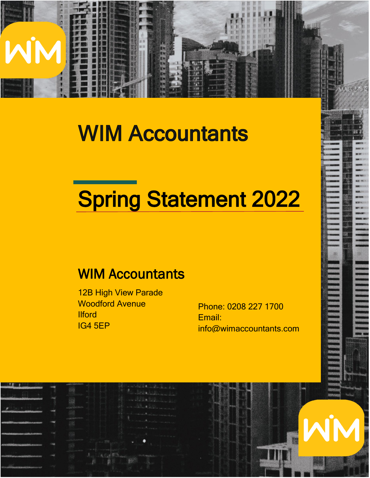# **WIM Accountants**

# Spring Statement 2022

1

# **WIM Accountants**

12B High View Parade Woodford Avenue **Ilford** IG4 5EP

Phone: 0208 227 1700 Email: info@wimaccountants.com

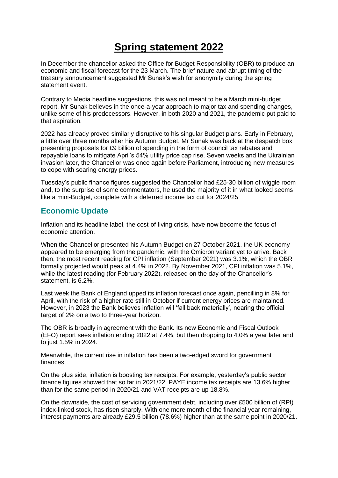# **Spring statement 2022**

In December the chancellor asked the Office for Budget Responsibility (OBR) to produce an economic and fiscal forecast for the 23 March. The brief nature and abrupt timing of the treasury announcement suggested Mr Sunak's wish for anonymity during the spring statement event.

Contrary to Media headline suggestions, this was not meant to be a March mini-budget report. Mr Sunak believes in the once-a-year approach to major tax and spending changes, unlike some of his predecessors. However, in both 2020 and 2021, the pandemic put paid to that aspiration.

2022 has already proved similarly disruptive to his singular Budget plans. Early in February, a little over three months after his Autumn Budget, Mr Sunak was back at the despatch box presenting proposals for £9 billion of spending in the form of council tax rebates and repayable loans to mitigate April's 54% utility price cap rise. Seven weeks and the Ukrainian invasion later, the Chancellor was once again before Parliament, introducing new measures to cope with soaring energy prices.

Tuesday's public finance figures suggested the Chancellor had £25-30 billion of wiggle room and, to the surprise of some commentators, he used the majority of it in what looked seems like a mini-Budget, complete with a deferred income tax cut for 2024/25

## **Economic Update**

Inflation and its headline label, the cost-of-living crisis, have now become the focus of economic attention.

When the Chancellor presented his Autumn Budget on 27 October 2021, the UK economy appeared to be emerging from the pandemic, with the Omicron variant yet to arrive. Back then, the most recent reading for CPI inflation (September 2021) was 3.1%, which the OBR formally projected would peak at 4.4% in 2022. By November 2021, CPI inflation was 5.1%, while the latest reading (for February 2022), released on the day of the Chancellor's statement, is 6.2%.

Last week the Bank of England upped its inflation forecast once again, pencilling in 8% for April, with the risk of a higher rate still in October if current energy prices are maintained. However, in 2023 the Bank believes inflation will 'fall back materially', nearing the official target of 2% on a two to three-year horizon.

The OBR is broadly in agreement with the Bank. Its new Economic and Fiscal Outlook (EFO) report sees inflation ending 2022 at 7.4%, but then dropping to 4.0% a year later and to just 1.5% in 2024.

Meanwhile, the current rise in inflation has been a two-edged sword for government finances:

On the plus side, inflation is boosting tax receipts. For example, yesterday's public sector finance figures showed that so far in 2021/22, PAYE income tax receipts are 13.6% higher than for the same period in 2020/21 and VAT receipts are up 18.8%.

On the downside, the cost of servicing government debt, including over £500 billion of (RPI) index-linked stock, has risen sharply. With one more month of the financial year remaining, interest payments are already £29.5 billion (78.6%) higher than at the same point in 2020/21.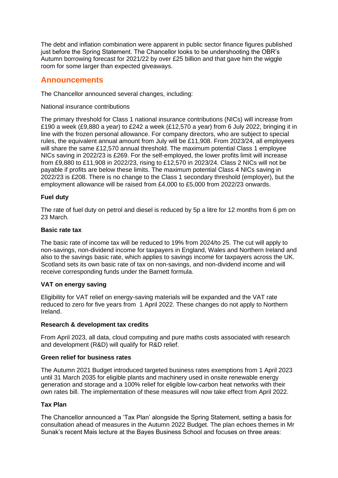The debt and inflation combination were apparent in public sector finance figures published just before the Spring Statement. The Chancellor looks to be undershooting the OBR's Autumn borrowing forecast for 2021/22 by over £25 billion and that gave him the wiggle room for some larger than expected giveaways.

## **Announcements**

The Chancellor announced several changes, including:

#### National insurance contributions

The primary threshold for Class 1 national insurance contributions (NICs) will increase from £190 a week (£9,880 a year) to £242 a week (£12,570 a year) from 6 July 2022, bringing it in line with the frozen personal allowance. For company directors, who are subject to special rules, the equivalent annual amount from July will be £11,908. From 2023/24, all employees will share the same £12,570 annual threshold. The maximum potential Class 1 employee NICs saving in 2022/23 is £269. For the self-employed, the lower profits limit will increase from £9,880 to £11,908 in 2022/23, rising to £12,570 in 2023/24. Class 2 NICs will not be payable if profits are below these limits. The maximum potential Class 4 NICs saving in 2022/23 is £208. There is no change to the Class 1 secondary threshold (employer), but the employment allowance will be raised from £4,000 to £5,000 from 2022/23 onwards.

#### **Fuel duty**

The rate of fuel duty on petrol and diesel is reduced by 5p a litre for 12 months from 6 pm on 23 March.

#### **Basic rate tax**

The basic rate of income tax will be reduced to 19% from 2024/to 25. The cut will apply to non-savings, non-dividend income for taxpayers in England, Wales and Northern Ireland and also to the savings basic rate, which applies to savings income for taxpayers across the UK. Scotland sets its own basic rate of tax on non-savings, and non-dividend income and will receive corresponding funds under the Barnett formula.

#### **VAT on energy saving**

Eligibility for VAT relief on energy-saving materials will be expanded and the VAT rate reduced to zero for five years from 1 April 2022. These changes do not apply to Northern Ireland.

#### **Research & development tax credits**

From April 2023, all data, cloud computing and pure maths costs associated with research and development (R&D) will qualify for R&D relief.

#### **Green relief for business rates**

The Autumn 2021 Budget introduced targeted business rates exemptions from 1 April 2023 until 31 March 2035 for eligible plants and machinery used in onsite renewable energy generation and storage and a 100% relief for eligible low-carbon heat networks with their own rates bill. The implementation of these measures will now take effect from April 2022.

#### **Tax Plan**

The Chancellor announced a 'Tax Plan' alongside the Spring Statement, setting a basis for consultation ahead of measures in the Autumn 2022 Budget. The plan echoes themes in Mr Sunak's recent Mais lecture at the Bayes Business School and focuses on three areas: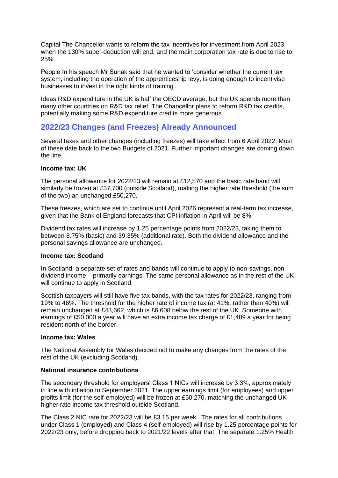Capital The Chancellor wants to reform the tax incentives for investment from April 2023, when the 130% super-deduction will end, and the main corporation tax rate is due to rise to 25%.

People In his speech Mr Sunak said that he wanted to 'consider whether the current tax system, including the operation of the apprenticeship levy, is doing enough to incentivise businesses to invest in the right kinds of training'.

Ideas R&D expenditure in the UK is half the OECD average, but the UK spends more than many other countries on R&D tax relief. The Chancellor plans to reform R&D tax credits, potentially making some R&D expenditure credits more generous.

## **2022/23 Changes (and Freezes) Already Announced**

Several taxes and other changes (including freezes) will take effect from 6 April 2022. Most of these date back to the two Budgets of 2021. Further important changes are coming down the line.

#### **Income tax: UK**

The personal allowance for 2022/23 will remain at £12,570 and the basic rate band will similarly be frozen at £37,700 (outside Scotland), making the higher rate threshold (the sum of the two) an unchanged £50,270.

These freezes, which are set to continue until April 2026 represent a real-term tax increase, given that the Bank of England forecasts that CPI inflation in April will be 8%.

Dividend tax rates will increase by 1.25 percentage points from 2022/23, taking them to between 8.75% (basic) and 39.35% (additional rate). Both the dividend allowance and the personal savings allowance are unchanged.

#### **Income tax: Scotland**

In Scotland, a separate set of rates and bands will continue to apply to non-savings, nondividend income – primarily earnings. The same personal allowance as in the rest of the UK will continue to apply in Scotland.

Scottish taxpayers will still have five tax bands, with the tax rates for 2022/23, ranging from 19% to 46%. The threshold for the higher rate of income tax (at 41%, rather than 40%) will remain unchanged at £43,662, which is £6,608 below the rest of the UK. Someone with earnings of £50,000 a year will have an extra income tax charge of £1,489 a year for being resident north of the border.

#### **Income tax: Wales**

The National Assembly for Wales decided not to make any changes from the rates of the rest of the UK (excluding Scotland).

#### **National insurance contributions**

The secondary threshold for employers' Class 1 NICs will increase by 3.3%, approximately in line with inflation to September 2021. The upper earnings limit (for employees) and upper profits limit (for the self-employed) will be frozen at £50,270, matching the unchanged UK higher rate income tax threshold outside Scotland.

The Class 2 NIC rate for 2022/23 will be £3.15 per week. The rates for all contributions under Class 1 (employed) and Class 4 (self-employed) will rise by 1.25 percentage points for 2022/23 only, before dropping back to 2021/22 levels after that. The separate 1.25% Health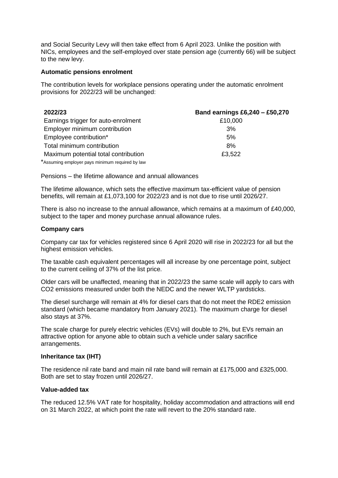and Social Security Levy will then take effect from 6 April 2023. Unlike the position with NICs, employees and the self-employed over state pension age (currently 66) will be subject to the new levy.

#### **Automatic pensions enrolment**

The contribution levels for workplace pensions operating under the automatic enrolment provisions for 2022/23 will be unchanged:

| 2022/23                                         | Band earnings £6,240 - £50,270 |
|-------------------------------------------------|--------------------------------|
| Earnings trigger for auto-enrolment             | £10,000                        |
| Employer minimum contribution                   | 3%                             |
| Employee contribution*                          | 5%                             |
| Total minimum contribution                      | 8%                             |
| Maximum potential total contribution            | £3,522                         |
| *Assuming employer pays minimum required by law |                                |

Pensions – the lifetime allowance and annual allowances

The lifetime allowance, which sets the effective maximum tax-efficient value of pension benefits, will remain at £1,073,100 for 2022/23 and is not due to rise until 2026/27.

There is also no increase to the annual allowance, which remains at a maximum of £40,000, subject to the taper and money purchase annual allowance rules.

#### **Company cars**

Company car tax for vehicles registered since 6 April 2020 will rise in 2022/23 for all but the highest emission vehicles.

The taxable cash equivalent percentages will all increase by one percentage point, subject to the current ceiling of 37% of the list price.

Older cars will be unaffected, meaning that in 2022/23 the same scale will apply to cars with CO2 emissions measured under both the NEDC and the newer WLTP yardsticks.

The diesel surcharge will remain at 4% for diesel cars that do not meet the RDE2 emission standard (which became mandatory from January 2021). The maximum charge for diesel also stays at 37%.

The scale charge for purely electric vehicles (EVs) will double to 2%, but EVs remain an attractive option for anyone able to obtain such a vehicle under salary sacrifice arrangements.

#### **Inheritance tax (IHT)**

The residence nil rate band and main nil rate band will remain at £175,000 and £325,000. Both are set to stay frozen until 2026/27.

#### **Value-added tax**

The reduced 12.5% VAT rate for hospitality, holiday accommodation and attractions will end on 31 March 2022, at which point the rate will revert to the 20% standard rate.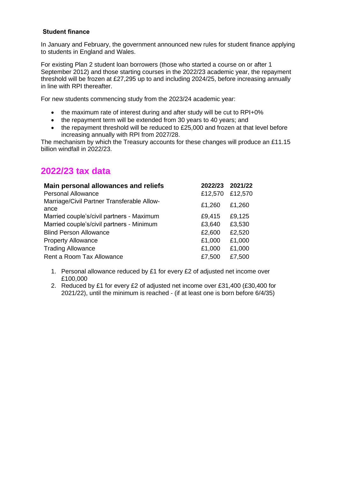#### **Student finance**

In January and February, the government announced new rules for student finance applying to students in England and Wales.

For existing Plan 2 student loan borrowers (those who started a course on or after 1 September 2012) and those starting courses in the 2022/23 academic year, the repayment threshold will be frozen at £27,295 up to and including 2024/25, before increasing annually in line with RPI thereafter.

For new students commencing study from the 2023/24 academic year:

- the maximum rate of interest during and after study will be cut to RPI+0%
- the repayment term will be extended from 30 years to 40 years; and
- the repayment threshold will be reduced to £25,000 and frozen at that level before increasing annually with RPI from 2027/28.

The mechanism by which the Treasury accounts for these changes will produce an £11.15 billion windfall in 2022/23.

# **2022/23 tax data**

| Main personal allowances and reliefs               | 2022/23 | 2021/22 |
|----------------------------------------------------|---------|---------|
| <b>Personal Allowance</b>                          | £12,570 | £12,570 |
| Marriage/Civil Partner Transferable Allow-<br>ance | £1,260  | £1,260  |
| Married couple's/civil partners - Maximum          | £9,415  | £9,125  |
| Married couple's/civil partners - Minimum          | £3,640  | £3,530  |
| <b>Blind Person Allowance</b>                      | £2,600  | £2,520  |
| <b>Property Allowance</b>                          | £1,000  | £1,000  |
| <b>Trading Allowance</b>                           | £1,000  | £1,000  |
| Rent a Room Tax Allowance                          | £7,500  | £7,500  |

- 1. Personal allowance reduced by £1 for every £2 of adjusted net income over £100,000
- 2. Reduced by £1 for every £2 of adjusted net income over £31,400 (£30,400 for 2021/22), until the minimum is reached - (if at least one is born before 6/4/35)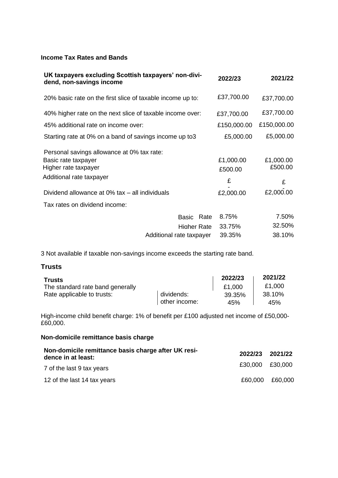#### **Income Tax Rates and Bands**

| UK taxpayers excluding Scottish taxpayers' non-divi-<br>dend, non-savings income                                      | 2022/23                   | 2021/22                   |
|-----------------------------------------------------------------------------------------------------------------------|---------------------------|---------------------------|
| 20% basic rate on the first slice of taxable income up to:                                                            | £37,700.00                | £37,700.00                |
| 40% higher rate on the next slice of taxable income over:                                                             | £37,700.00                | £37,700.00                |
| 45% additional rate on income over:                                                                                   | £150,000.00               | £150,000.00               |
| Starting rate at 0% on a band of savings income up to 3                                                               | £5,000.00                 | £5,000.00                 |
| Personal savings allowance at 0% tax rate:<br>Basic rate taxpayer<br>Higher rate taxpayer<br>Additional rate taxpayer | £1,000.00<br>£500.00<br>£ | £1,000.00<br>£500.00<br>£ |
| Dividend allowance at 0% tax - all individuals                                                                        | £2,000.00                 | £2,000.00                 |
| Tax rates on dividend income:                                                                                         |                           |                           |
| Rate<br><b>Basic</b>                                                                                                  | 8.75%                     | 7.50%                     |
| Higher Rate                                                                                                           | 33.75%                    | 32.50%                    |
| Additional rate taxpayer                                                                                              | 39.35%                    | 38.10%                    |

3 Not available if taxable non-savings income exceeds the starting rate band.

#### **Trusts**

| Trusts                           |               | 2022/23 | 2021/22 |
|----------------------------------|---------------|---------|---------|
| The standard rate band generally |               | £1,000  | £1.000  |
| Rate applicable to trusts:       | dividends:    | 39.35%  | 38.10%  |
|                                  | other income: | 45%     | 45%     |

High-income child benefit charge: 1% of benefit per £100 adjusted net income of £50,000- £60,000.

### **Non-domicile remittance basis charge**

| Non-domicile remittance basis charge after UK resi-<br>dence in at least: | 2022/23 2021/22 |  |
|---------------------------------------------------------------------------|-----------------|--|
| 7 of the last 9 tax years                                                 | £30,000 £30,000 |  |
| 12 of the last 14 tax years                                               | £60,000 £60,000 |  |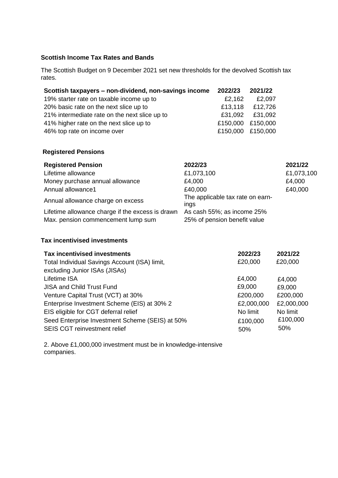#### **Scottish Income Tax Rates and Bands**

The Scottish Budget on 9 December 2021 set new thresholds for the devolved Scottish tax rates.

| Scottish taxpayers - non-dividend, non-savings income | 2022/23           | 2021/22           |
|-------------------------------------------------------|-------------------|-------------------|
| 19% starter rate on taxable income up to              | £2,162            | £2,097            |
| 20% basic rate on the next slice up to                |                   | £13,118 £12,726   |
| 21% intermediate rate on the next slice up to         |                   | £31,092 £31,092   |
| 41% higher rate on the next slice up to               |                   | £150,000 £150,000 |
| 46% top rate on income over                           | £150,000 £150,000 |                   |

#### **Registered Pensions**

| <b>Registered Pension</b>                                                              | 2022/23                                                    | 2021/22    |
|----------------------------------------------------------------------------------------|------------------------------------------------------------|------------|
| Lifetime allowance                                                                     | £1,073,100                                                 | £1,073,100 |
| Money purchase annual allowance                                                        | £4,000                                                     | £4,000     |
| Annual allowance1                                                                      | £40,000                                                    | £40,000    |
| Annual allowance charge on excess                                                      | The applicable tax rate on earn-<br>ings                   |            |
| Lifetime allowance charge if the excess is drawn<br>Max. pension commencement lump sum | As cash 55%; as income 25%<br>25% of pension benefit value |            |

#### **Tax incentivised investments**

| <b>Tax incentivised investments</b>             | 2022/23    | 2021/22    |
|-------------------------------------------------|------------|------------|
| Total Individual Savings Account (ISA) limit,   | £20,000    | £20,000    |
| excluding Junior ISAs (JISAs)                   |            |            |
| Lifetime ISA                                    | £4,000     | £4,000     |
| <b>JISA and Child Trust Fund</b>                | £9,000     | £9,000     |
| Venture Capital Trust (VCT) at 30%              | £200,000   | £200,000   |
| Enterprise Investment Scheme (EIS) at 30% 2     | £2,000,000 | £2,000,000 |
| EIS eligible for CGT deferral relief            | No limit   | No limit   |
| Seed Enterprise Investment Scheme (SEIS) at 50% | £100,000   | £100,000   |
| <b>SEIS CGT reinvestment relief</b>             | 50%        | 50%        |

2. Above £1,000,000 investment must be in knowledge-intensive companies.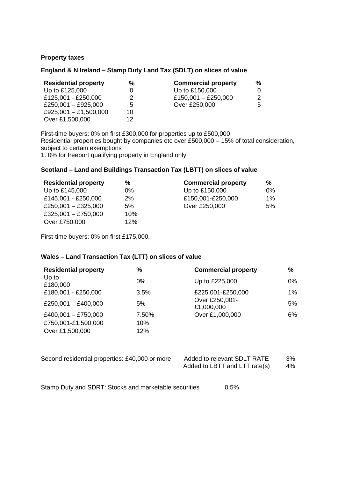#### **Property taxes**

#### **England & N Ireland – Stamp Duty Land Tax (SDLT) on slices of value**

| <b>Residential property</b> | %  | <b>Commercial property</b> | % |
|-----------------------------|----|----------------------------|---|
| Up to £125,000              |    | Up to £150,000             | 0 |
| £125,001 - £250,000         | 2  | £150,001 - £250,000        | 2 |
| £250,001 - £925,000         | 5  | Over £250,000              | 5 |
| £925,001 - £1,500,000       | 10 |                            |   |
| Over £1,500,000             | 12 |                            |   |

First-time buyers: 0% on first £300,000 for properties up to £500,000 Residential properties bought by companies etc over £500,000 – 15% of total consideration, subject to certain exemptions

1. 0% for freeport qualifying property in England only

#### **Scotland – Land and Buildings Transaction Tax (LBTT) on slices of value**

| <b>Residential property</b> | %   | <b>Commercial property</b> | ℅     |
|-----------------------------|-----|----------------------------|-------|
| Up to £145,000              | 0%  | Up to £150,000             | $0\%$ |
| £145,001 - £250,000         | 2%  | £150,001-£250,000          | $1\%$ |
| £250,001 - £325,000         | 5%  | Over £250,000              | 5%    |
| £325,001 - £750,000         | 10% |                            |       |
| Over £750,000               | 12% |                            |       |

First-time buyers: 0% on first £175,000.

#### **Wales – Land Transaction Tax (LTT) on slices of value**

| <b>Residential property</b> | %     | <b>Commercial property</b>   | %  |
|-----------------------------|-------|------------------------------|----|
| Up to<br>£180,000           | 0%    | Up to £225,000               | 0% |
| £180,001 - £250,000         | 3.5%  | £225,001-£250,000            | 1% |
| £250,001 - £400,000         | 5%    | Over £250,001-<br>£1,000,000 | 5% |
| £400,001 - £750,000         | 7.50% | Over £1,000,000              | 6% |
| £750,001-£1,500,000         | 10%   |                              |    |
| Over £1,500,000             | 12%   |                              |    |

| Second residential properties: £40,000 or more | Added to relevant SDLT RATE   | 3% |
|------------------------------------------------|-------------------------------|----|
|                                                | Added to LBTT and LTT rate(s) | 4% |

Stamp Duty and SDRT: Stocks and marketable securities 0.5%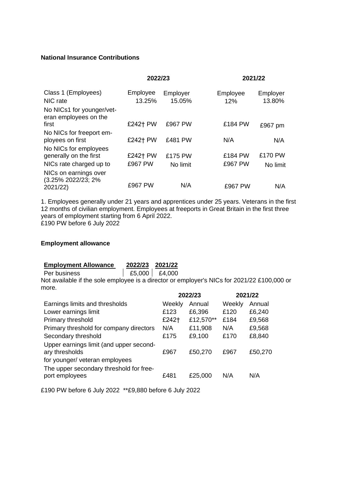#### **National Insurance Contributions**

|                                                                                       | 2022/23            |                    | 2021/22         |                    |
|---------------------------------------------------------------------------------------|--------------------|--------------------|-----------------|--------------------|
| Class 1 (Employees)<br>NIC rate<br>No NICs1 for younger/vet-<br>eran employees on the | Employee<br>13.25% | Employer<br>15.05% | Employee<br>12% | Employer<br>13.80% |
| first                                                                                 | £242† PW           | £967 PW            | £184 PW         | £967 pm            |
| No NICs for freeport em-<br>ployees on first<br>No NICs for employees                 | £242† PW           | £481 PW            | N/A             | N/A                |
| generally on the first                                                                | £242† PW           | £175 PW            | £184 PW         | £170 PW            |
| NICs rate charged up to                                                               | £967 PW            | No limit           | £967 PW         | No limit           |
| NICs on earnings over<br>(3.25% 2022/23; 2%<br>2021/22)                               | £967 PW            | N/A                | £967 PW         | N/A                |

1. Employees generally under 21 years and apprentices under 25 years. Veterans in the first 12 months of civilian employment. Employees at freeports in Great Britain in the first three years of employment starting from 6 April 2022. £190 PW before 6 July 2022

#### **Employment allowance**

| <b>Employment Allowance</b> | 2022/23 2021/22 |        |
|-----------------------------|-----------------|--------|
| Per business                | £5,000 L        | £4,000 |

Not available if the sole employee is a director or employer's NICs for 2021/22 £100,000 or more. **2022/23 2021/22**

|                                                           |        | 2022/23   |        | 2021/22 |
|-----------------------------------------------------------|--------|-----------|--------|---------|
| Earnings limits and thresholds                            | Weekly | Annual    | Weekly | Annual  |
| Lower earnings limit                                      | £123   | £6,396    | £120   | £6,240  |
| Primary threshold                                         | £242†  | £12,570** | £184   | £9,568  |
| Primary threshold for company directors                   | N/A    | £11,908   | N/A    | £9,568  |
| Secondary threshold                                       | £175   | £9,100    | £170   | £8,840  |
| Upper earnings limit (and upper second-<br>ary thresholds | £967   | £50,270   | £967   | £50,270 |
| for younger/ veteran employees                            |        |           |        |         |
| The upper secondary threshold for free-<br>port employees | £481   | £25,000   | N/A    | N/A     |

£190 PW before 6 July 2022 \*\*£9,880 before 6 July 2022